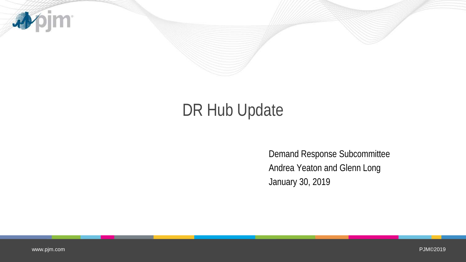

# DR Hub Update

Demand Response Subcommittee Andrea Yeaton and Glenn Long January 30, 2019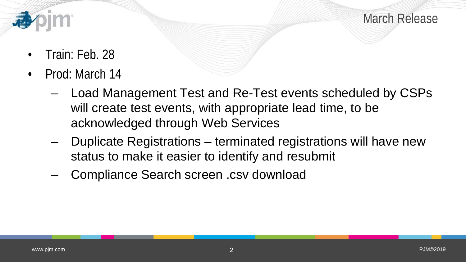

March Release

- Train: Feb. 28
- Prod: March 14
	- Load Management Test and Re-Test events scheduled by CSPs will create test events, with appropriate lead time, to be acknowledged through Web Services
	- Duplicate Registrations terminated registrations will have new status to make it easier to identify and resubmit
	- Compliance Search screen .csv download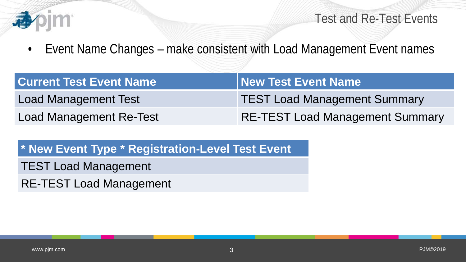

Test and Re-Test Events

• Event Name Changes – make consistent with Load Management Event names

| <b>Current Test Event Name</b> | New Test Event Name                    |
|--------------------------------|----------------------------------------|
| <b>Load Management Test</b>    | <b>TEST Load Management Summary</b>    |
| <b>Load Management Re-Test</b> | <b>RE-TEST Load Management Summary</b> |

**\* New Event Type \* Registration-Level Test Event**

TEST Load Management

RE-TEST Load Management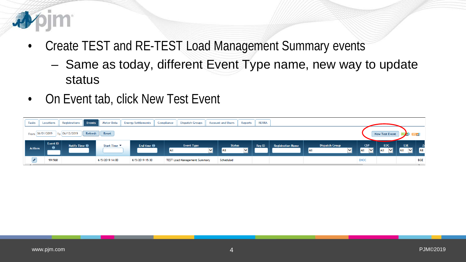

- Create TEST and RE-TEST Load Management Summary events
	- Same as today, different Event Type name, new way to update status
- On Event tab, click New Test Event

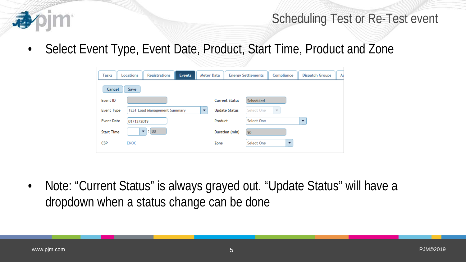

#### Scheduling Test or Re-Test event

• Select Event Type, Event Date, Product, Start Time, Product and Zone

| <b>Tasks</b>      | <b>Locations</b><br><b>Registrations</b><br><b>Events</b> | <b>Meter Data</b>        | <b>Energy Settlements</b> | Compliance                            | A<br><b>Dispatch Groups</b> |
|-------------------|-----------------------------------------------------------|--------------------------|---------------------------|---------------------------------------|-----------------------------|
| Cancel            | Save                                                      |                          |                           |                                       |                             |
| Event ID          |                                                           |                          | <b>Current Status</b>     | Scheduled                             |                             |
| Event Type        | <b>TEST Load Management Summary</b>                       | $\overline{\phantom{a}}$ | <b>Update Status</b>      | Select One<br>$\overline{\mathbf{v}}$ |                             |
| <b>Event Date</b> | 01/13/2019                                                | Product                  |                           | Select One                            | ▼                           |
| <b>Start Time</b> | $\vert \cdot \vert$ 00<br>▼                               |                          | Duration (min)<br>90      |                                       |                             |
| <b>CSP</b>        | <b>ENOC</b>                                               | Zone                     |                           | Select One                            | $\overline{\phantom{a}}$    |

• Note: "Current Status" is always grayed out. "Update Status" will have a dropdown when a status change can be done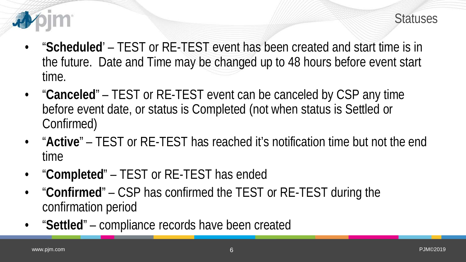



- "**Scheduled**' TEST or RE-TEST event has been created and start time is in the future. Date and Time may be changed up to 48 hours before event start time.
- "**Canceled**" TEST or RE-TEST event can be canceled by CSP any time before event date, or status is Completed (not when status is Settled or Confirmed)
- "**Active**" TEST or RE-TEST has reached it's notification time but not the end time
- "**Completed**" TEST or RE-TEST has ended
- "**Confirmed**" CSP has confirmed the TEST or RE-TEST during the confirmation period
- "**Settled**" compliance records have been created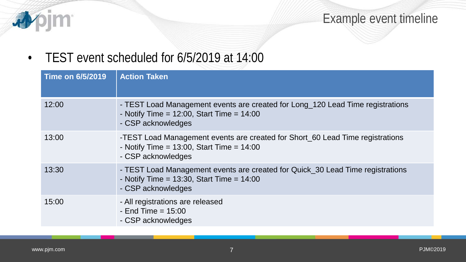

Example event timeline

• TEST event scheduled for 6/5/2019 at 14:00

| <b>Time on 6/5/2019</b> | <b>Action Taken</b>                                                                                                                                    |
|-------------------------|--------------------------------------------------------------------------------------------------------------------------------------------------------|
| 12:00                   | - TEST Load Management events are created for Long_120 Lead Time registrations<br>- Notify Time = $12:00$ , Start Time = $14:00$<br>- CSP acknowledges |
| 13:00                   | -TEST Load Management events are created for Short_60 Lead Time registrations<br>- Notify Time = $13:00$ , Start Time = $14:00$<br>- CSP acknowledges  |
| 13:30                   | - TEST Load Management events are created for Quick_30 Lead Time registrations<br>- Notify Time = $13:30$ , Start Time = $14:00$<br>- CSP acknowledges |
| 15:00                   | - All registrations are released<br>- End Time $= 15:00$<br>- CSP acknowledges                                                                         |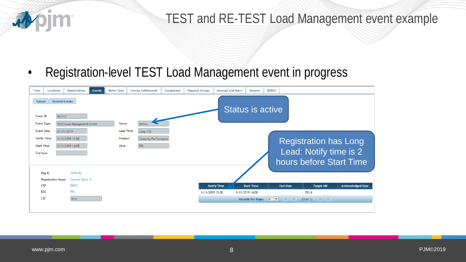

## TEST and RE-TEST Load Management event example

• Registration-level TEST Load Management event in progress

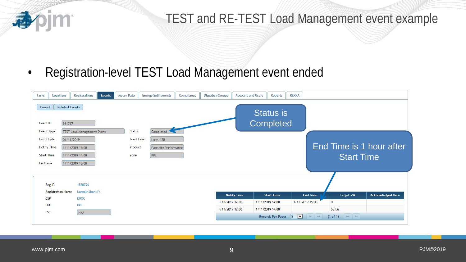

### TEST and RE-TEST Load Management event example

• Registration-level TEST Load Management event ended

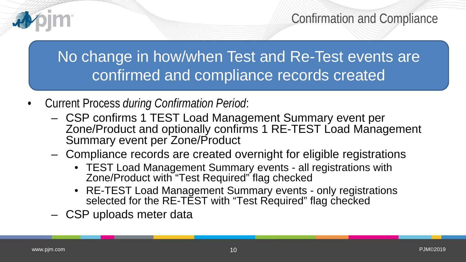No change in how/when Test and Re-Test events are confirmed and compliance records created

- Current Process *during Confirmation Period*:
	- CSP confirms 1 TEST Load Management Summary event per Zone/Product and optionally confirms 1 RE-TEST Load Management Summary event per Zone/Product
	- Compliance records are created overnight for eligible registrations
		- TEST Load Management Summary events all registrations with Zone/Product with "Test Required" flag checked
		- RE-TEST Load Management Summary events only registrations selected for the RE-TEST with "Test Required" flag checked
	- CSP uploads meter data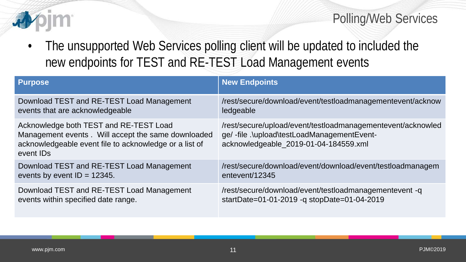

#### Polling/Web Services

• The unsupported Web Services polling client will be updated to included the new endpoints for TEST and RE-TEST Load Management events

| <b>Purpose</b>                                                                                                                                                                  | <b>New Endpoints</b>                                                                                                                              |
|---------------------------------------------------------------------------------------------------------------------------------------------------------------------------------|---------------------------------------------------------------------------------------------------------------------------------------------------|
| Download TEST and RE-TEST Load Management                                                                                                                                       | /rest/secure/download/event/testloadmanagementevent/acknow                                                                                        |
| events that are acknowledgeable                                                                                                                                                 | ledgeable                                                                                                                                         |
| Acknowledge both TEST and RE-TEST Load<br>Management events. Will accept the same downloaded<br>acknowledgeable event file to acknowledge or a list of<br>event ID <sub>s</sub> | /rest/secure/upload/event/testloadmanagementevent/acknowled<br>ge/-file.\upload\testLoadManagementEvent-<br>acknowledgeable_2019-01-04-184559.xml |
| Download TEST and RE-TEST Load Management                                                                                                                                       | /rest/secure/download/event/download/event/testloadmanagem                                                                                        |
| events by event $ID = 12345$ .                                                                                                                                                  | entevent/12345                                                                                                                                    |
| Download TEST and RE-TEST Load Management                                                                                                                                       | /rest/secure/download/event/testloadmanagementevent -q                                                                                            |
| events within specified date range.                                                                                                                                             | startDate=01-01-2019 -q stopDate=01-04-2019                                                                                                       |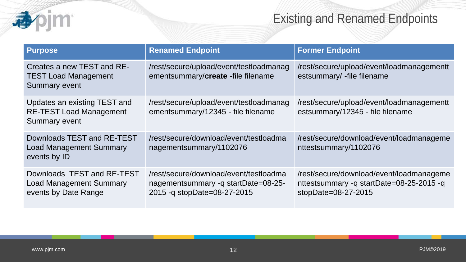# Existing and Renamed Endpoints

| <b>Purpose</b>                                                                         | <b>Renamed Endpoint</b>                                                                                       | <b>Former Endpoint</b>                                                                                         |
|----------------------------------------------------------------------------------------|---------------------------------------------------------------------------------------------------------------|----------------------------------------------------------------------------------------------------------------|
| Creates a new TEST and RE-<br><b>TEST Load Management</b><br><b>Summary event</b>      | /rest/secure/upload/event/testloadmanag<br>ementsummary/create -file filename                                 | /rest/secure/upload/event/loadmanagementt<br>estsummary/ -file filename                                        |
| Updates an existing TEST and<br><b>RE-TEST Load Management</b><br><b>Summary event</b> | /rest/secure/upload/event/testloadmanag<br>ementsummary/12345 - file filename                                 | /rest/secure/upload/event/loadmanagementt<br>estsummary/12345 - file filename                                  |
| Downloads TEST and RE-TEST<br><b>Load Management Summary</b><br>events by ID           | /rest/secure/download/event/testloadma<br>nagementsummary/1102076                                             | /rest/secure/download/event/loadmanageme<br>nttestsummary/1102076                                              |
| Downloads TEST and RE-TEST<br><b>Load Management Summary</b><br>events by Date Range   | /rest/secure/download/event/testloadma<br>nagementsummary -q startDate=08-25-<br>2015 - q stopDate=08-27-2015 | /rest/secure/download/event/loadmanageme<br>nttestsummary -q startDate=08-25-2015 -q<br>stopDate= $08-27-2015$ |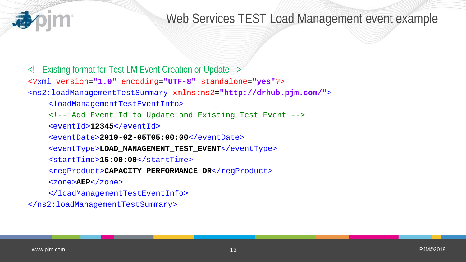

#### Web Services TEST Load Management event example

<!-- Existing format for Test LM Event Creation or Update -->

<?xml version=**"1.0"** encoding=**"UTF-8"** standalone=**"yes"**?>

<ns2:loadManagementTestSummary xmlns:ns2=**"http://drhub.pjm.com/"**>

<loadManagementTestEventInfo>

<!-- Add Event Id to Update and Existing Test Event -->

<eventId>**12345**</eventId>

<eventDate>**2019-02-05T05:00:00**</eventDate>

<eventType>**LOAD\_MANAGEMENT\_TEST\_EVENT**</eventType>

<startTime>**16:00:00**</startTime>

<regProduct> CAPACITY\_PERFORMANCE\_DR</regProduct>

<zone>**AEP**</zone>

</loadManagementTestEventInfo>

</ns2:loadManagementTestSummary>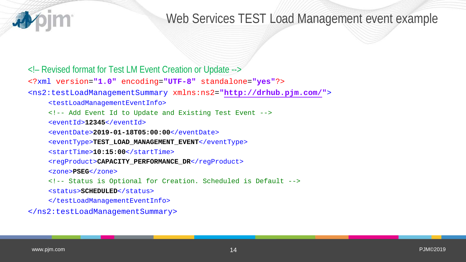

#### Web Services TEST Load Management event example

<!– Revised format for Test LM Event Creation or Update -->

<?xml version=**"1.0"** encoding=**"UTF-8"** standalone=**"yes"**?>

<ns2:testLoadManagementSummary xmlns:ns2=**"http://drhub.pjm.com/"**>

<testLoadManagementEventInfo>

<!-- Add Event Id to Update and Existing Test Event -->

<eventId>**12345**</eventId>

<eventDate>**2019-01-18T05:00:00**</eventDate>

<eventType>**TEST\_LOAD\_MANAGEMENT\_EVENT**</eventType>

<startTime>**10:15:00**</startTime>

<regProduct>CAPACITY\_PERFORMANCE\_DR</regProduct>

<zone>**PSEG**</zone>

<!-- Status is Optional for Creation. Scheduled is Default -->

<status>**SCHEDULED**</status>

</testLoadManagementEventInfo>

</ns2:testLoadManagementSummary>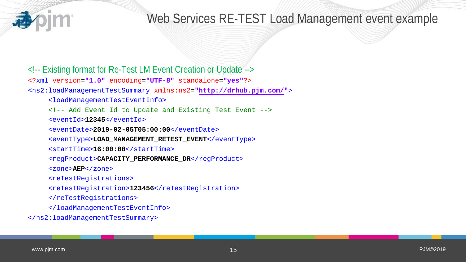

## Web Services RE-TEST Load Management event example

<!-- Existing format for Re-Test LM Event Creation or Update --> <?xml version=**"1.0"** encoding=**"UTF-8"** standalone=**"yes"**?> <ns2:loadManagementTestSummary xmlns:ns2=**"http://drhub.pjm.com/"**> <loadManagementTestEventInfo> <!-- Add Event Id to Update and Existing Test Event --> <eventId>**12345**</eventId> <eventDate>**2019-02-05T05:00:00**</eventDate> <eventType>**LOAD\_MANAGEMENT\_RETEST\_EVENT**</eventType> <startTime>**16:00:00**</startTime> <regProduct>CAPACITY\_PERFORMANCE\_DR</regProduct> <zone>**AEP**</zone> <reTestRegistrations> <reTestRegistration>**123456**</reTestRegistration> </reTestRegistrations> </loadManagementTestEventInfo> </ns2:loadManagementTestSummary>